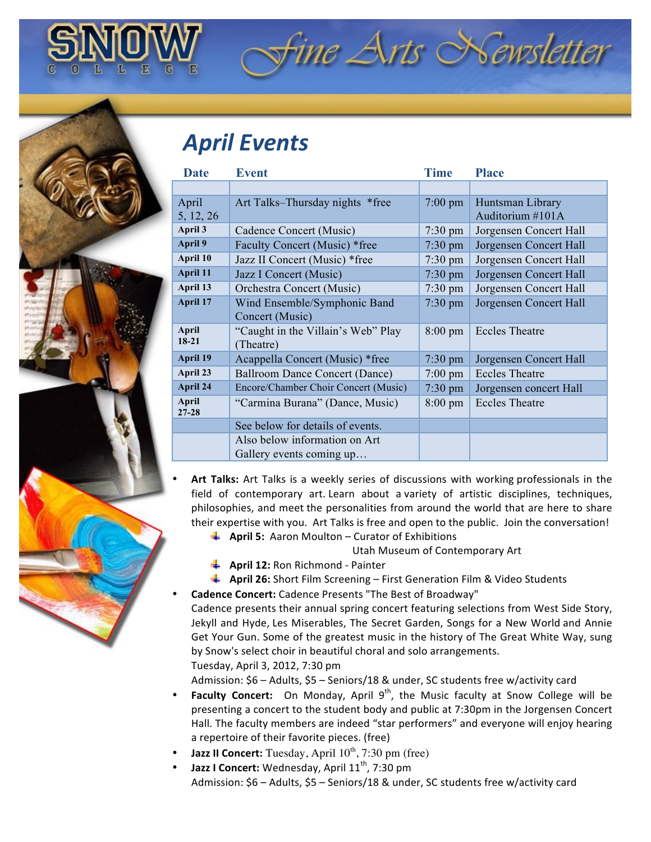## *April Events*

| <b>Date</b>               | <b>Event</b>                         | <b>Time</b>       | <b>Place</b>           |
|---------------------------|--------------------------------------|-------------------|------------------------|
|                           |                                      |                   |                        |
| April                     | Art Talks–Thursday nights *free      | $7:00 \text{ pm}$ | Huntsman Library       |
| 5, 12, 26                 |                                      |                   | Auditorium #101A       |
| April 3                   | Cadence Concert (Music)              | $7:30 \text{ pm}$ | Jorgensen Concert Hall |
| April 9                   | Faculty Concert (Music) *free        | $7:30 \text{ pm}$ | Jorgensen Concert Hall |
| April 10                  | Jazz II Concert (Music) *free        | $7:30 \text{ pm}$ | Jorgensen Concert Hall |
| April 11                  | Jazz I Concert (Music)               | $7:30 \text{ pm}$ | Jorgensen Concert Hall |
| April 13                  | Orchestra Concert (Music)            | $7:30 \text{ pm}$ | Jorgensen Concert Hall |
| April 17                  | Wind Ensemble/Symphonic Band         | $7:30 \text{ pm}$ | Jorgensen Concert Hall |
|                           | Concert (Music)                      |                   |                        |
| April<br>$18-21$          | "Caught in the Villain's Web" Play   | $8:00 \text{ pm}$ | <b>Eccles Theatre</b>  |
|                           | (Theatre)                            |                   |                        |
| April 19                  | Acappella Concert (Music) *free      | $7:30 \text{ pm}$ | Jorgensen Concert Hall |
| April 23                  | Ballroom Dance Concert (Dance)       | $7:00 \text{ pm}$ | <b>Eccles Theatre</b>  |
| April 24                  | Encore/Chamber Choir Concert (Music) | $7:30$ pm         | Jorgensen concert Hall |
| <b>April</b><br>$27 - 28$ | "Carmina Burana" (Dance, Music)      | $8:00 \text{ pm}$ | <b>Eccles Theatre</b>  |
|                           | See below for details of events.     |                   |                        |
|                           | Also below information on Art        |                   |                        |
|                           | Gallery events coming up             |                   |                        |

- Art Talks: Art Talks is a weekly series of discussions with working professionals in the field of contemporary art. Learn about a variety of artistic disciplines, techniques, philosophies, and meet the personalities from around the world that are here to share their expertise with you. Art Talks is free and open to the public. Join the conversation!
	- **4 April 5:** Aaron Moulton Curator of Exhibitions

**Utah Museum of Contemporary Art** 

ine Arts Newsletter

- **April 12: Ron Richmond Painter**
- **4 April 26:** Short Film Screening First Generation Film & Video Students
- Cadence Concert: Cadence Presents "The Best of Broadway"
- Cadence presents their annual spring concert featuring selections from West Side Story, Jekyll and Hyde, Les Miserables, The Secret Garden, Songs for a New World and Annie Get Your Gun. Some of the greatest music in the history of The Great White Way, sung by Snow's select choir in beautiful choral and solo arrangements. Tuesday, April 3, 2012, 7:30 pm

Admission: \$6 – Adults, \$5 – Seniors/18 & under, SC students free w/activity card

- **Faculty Concert:** On Monday, April 9<sup>th</sup>, the Music faculty at Snow College will be presenting a concert to the student body and public at 7:30pm in the Jorgensen Concert Hall. The faculty members are indeed "star performers" and everyone will enjoy hearing a repertoire of their favorite pieces. (free)
- **Jazz II Concert:** Tuesday, April  $10^{th}$ , 7:30 pm (free)
- **Jazz I Concert:** Wednesday, April 11<sup>th</sup>, 7:30 pm Admission: \$6 – Adults, \$5 – Seniors/18 & under, SC students free w/activity card